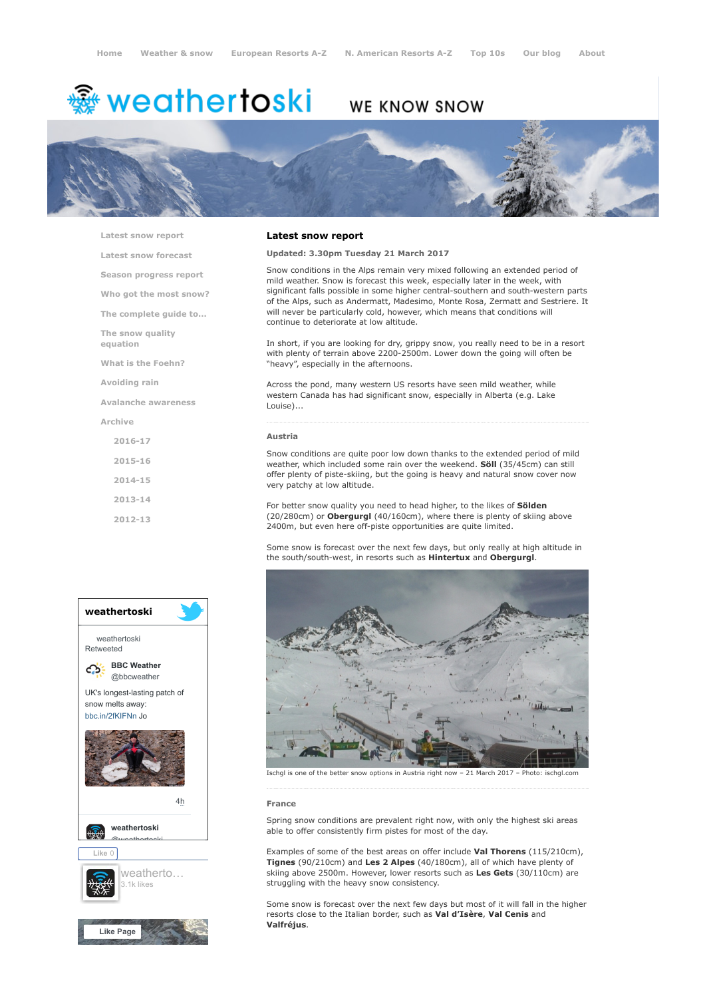# <del>鑾</del> weathertoski

## WE KNOW SNOW



[Latest snow report](https://www.weathertoski.co.uk/weather-snow/latest-snow-report/)

[Latest snow forecast](https://www.weathertoski.co.uk/weather-snow/latest-snow-forecast/) [Season progress report](https://www.weathertoski.co.uk/weather-snow/season-progress-report/) [Who got the most snow?](https://www.weathertoski.co.uk/weather-snow/who-got-the-most-snow/) [The complete guide to...](https://www.weathertoski.co.uk/weather-snow/the-complete-guide-to/)

[The snow quality](https://www.weathertoski.co.uk/weather-snow/the-snow-quality-equation/)

equation

[What is the Foehn?](https://www.weathertoski.co.uk/weather-snow/what-is-the-foehn/)

[Avoiding rain](https://www.weathertoski.co.uk/weather-snow/avoiding-rain/)

[Avalanche awareness](https://www.weathertoski.co.uk/weather-snow/avalanche-awareness/)

[Archive](https://www.weathertoski.co.uk/weather-snow/archive/)

- [2016-17](https://www.weathertoski.co.uk/weather-snow/archive/2016-17/) [2015-16](https://www.weathertoski.co.uk/weather-snow/archive/2015-16/) [2014-15](https://www.weathertoski.co.uk/weather-snow/archive/2014-15/) [2013-14](https://www.weathertoski.co.uk/weather-snow/archive/2013-14/)
- [2012-13](https://www.weathertoski.co.uk/weather-snow/archive/2012-13/)

### weathertoski weathertoski Retweeted [BBC Weather](https://twitter.com/bbcweather) ය @bbcweather UK's longest-lasting patch of snow melts away: [bbc.in/2fKIFNn](https://t.co/dEQbIDXwfC) Jo [4h](https://twitter.com/bbcweather/status/914797391722795008) [weathertoski](https://twitter.com/weathertoski) <u>Quanthortoski</u> Like 0 [weatherto…](https://www.facebook.com/weathertoski/) 3.1k likes



#### Latest snow report

#### Updated: 3.30pm Tuesday 21 March 2017

Snow conditions in the Alps remain very mixed following an extended period of mild weather. Snow is forecast this week, especially later in the week, with significant falls possible in some higher central-southern and south-western parts of the Alps, such as Andermatt, Madesimo, Monte Rosa, Zermatt and Sestriere. It will never be particularly cold, however, which means that conditions will continue to deteriorate at low altitude.

In short, if you are looking for dry, grippy snow, you really need to be in a resort with plenty of terrain above 2200-2500m. Lower down the going will often be "heavy", especially in the afternoons.

Across the pond, many western US resorts have seen mild weather, while western Canada has had significant snow, especially in Alberta (e.g. Lake Louise)...

#### Austria

Snow conditions are quite poor low down thanks to the extended period of mild weather, which included some rain over the weekend. **Söll** (35/45cm) can still offer plenty of piste-skiing, but the going is heavy and natural snow cover now very patchy at low altitude.

For better snow quality you need to head higher, to the likes of Sölden (20/280cm) or Obergurgl (40/160cm), where there is plenty of skiing above 2400m, but even here off-piste opportunities are quite limited.

Some snow is forecast over the next few days, but only really at high altitude in the south/south-west, in resorts such as Hintertux and Obergurgl.



Ischgl is one of the better snow options in Austria right now – 21 March 2017 – Photo: ischgl.com

#### France

Spring snow conditions are prevalent right now, with only the highest ski areas able to offer consistently firm pistes for most of the day.

Examples of some of the best areas on offer include Val Thorens (115/210cm), Tignes (90/210cm) and Les 2 Alpes (40/180cm), all of which have plenty of skiing above 2500m. However, lower resorts such as Les Gets (30/110cm) are struggling with the heavy snow consistency.

Some snow is forecast over the next few days but most of it will fall in the higher resorts close to the Italian border, such as Val d'Isère, Val Cenis and Valfréjus.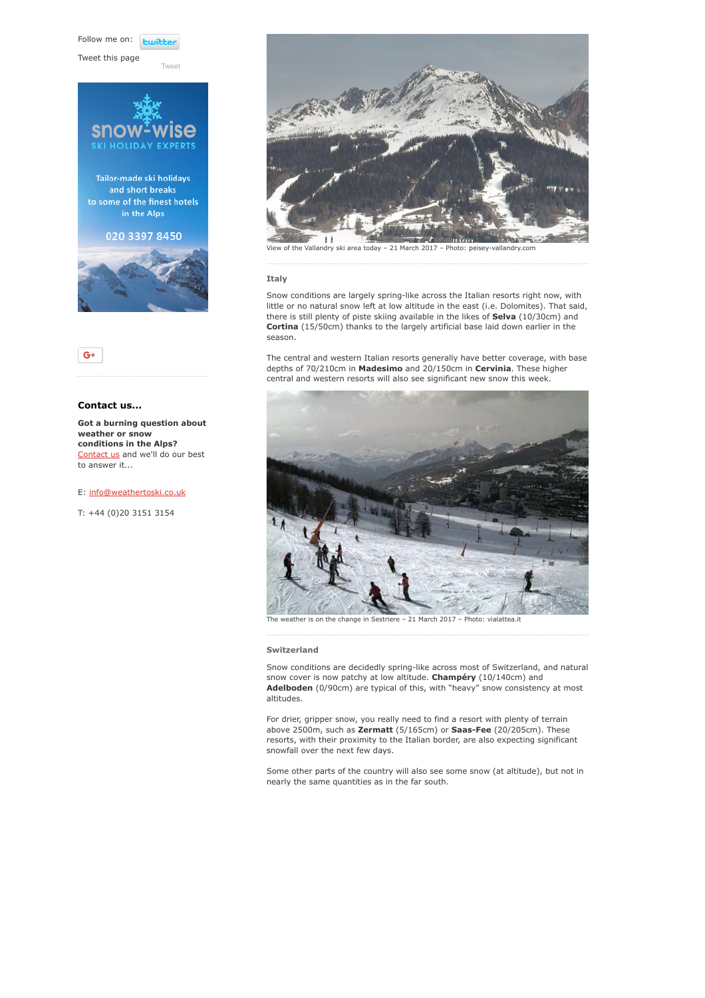Follow me on: **Lwitte** 

[Tweet](https://twitter.com/intent/tweet?original_referer=https%3A%2F%2Fwww.weathertoski.co.uk%2Fweather-snow%2Farchive%2Fsnow-report-21-03-2017%2F&ref_src=twsrc%5Etfw&text=Weather%20to%20ski%20-%20Snow%20report%20-%2021%20March%202017&tw_p=tweetbutton&url=https%3A%2F%2Fwww.weathertoski.co.uk%2Fweather-snow%2Farchive%2Fsnow-report-21-03-2017%2F)

Tweet this page





#### Contact us...

Got a burning question about weather or snow conditions in the Alps? [Contact us](https://www.weathertoski.co.uk/about-1/contact-us/) and we'll do our best to answer it...

E: [info@weathertoski.co.uk](mailto:fraser@weathertoski.co.uk)

T: +44 (0)20 3151 3154



View of the Vallandry ski area today – 21 March 2017 – Photo: peisey-vallandry.com

#### Italy

Snow conditions are largely spring-like across the Italian resorts right now, with little or no natural snow left at low altitude in the east (i.e. Dolomites). That said, there is still plenty of piste skiing available in the likes of **Selva** (10/30cm) and Cortina (15/50cm) thanks to the largely artificial base laid down earlier in the season.

The central and western Italian resorts generally have better coverage, with base depths of 70/210cm in Madesimo and 20/150cm in Cervinia. These higher central and western resorts will also see significant new snow this week.



The weather is on the change in Sestriere – 21 March 2017 – Photo: vialattea.it

#### Switzerland

Snow conditions are decidedly spring-like across most of Switzerland, and natural snow cover is now patchy at low altitude. Champéry (10/140cm) and Adelboden (0/90cm) are typical of this, with "heavy" snow consistency at most altitudes.

For drier, gripper snow, you really need to find a resort with plenty of terrain above 2500m, such as Zermatt (5/165cm) or Saas-Fee (20/205cm). These resorts, with their proximity to the Italian border, are also expecting significant snowfall over the next few days.

Some other parts of the country will also see some snow (at altitude), but not in nearly the same quantities as in the far south.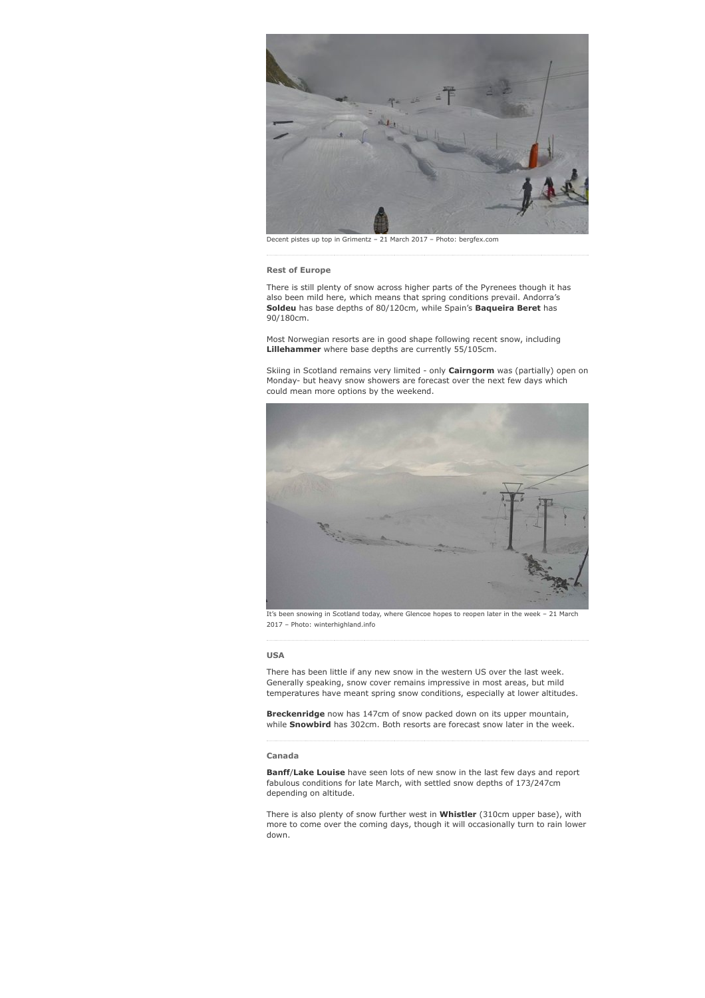

Decent pistes up top in Grimentz – 21 March 2017 – Photo: bergfex.com

#### Rest of Europe

There is still plenty of snow across higher parts of the Pyrenees though it has also been mild here, which means that spring conditions prevail. Andorra's Soldeu has base depths of 80/120cm, while Spain's Baqueira Beret has 90/180cm.

Most Norwegian resorts are in good shape following recent snow, including Lillehammer where base depths are currently 55/105cm.

Skiing in Scotland remains very limited - only Cairngorm was (partially) open on Monday- but heavy snow showers are forecast over the next few days which could mean more options by the weekend.



It's been snowing in Scotland today, where Glencoe hopes to reopen later in the week – 21 March 2017 – Photo: winterhighland.info

#### USA

There has been little if any new snow in the western US over the last week. Generally speaking, snow cover remains impressive in most areas, but mild temperatures have meant spring snow conditions, especially at lower altitudes.

Breckenridge now has 147cm of snow packed down on its upper mountain, while Snowbird has 302cm. Both resorts are forecast snow later in the week.

#### Canada

Banff/Lake Louise have seen lots of new snow in the last few days and report fabulous conditions for late March, with settled snow depths of 173/247cm depending on altitude.

There is also plenty of snow further west in Whistler (310cm upper base), with more to come over the coming days, though it will occasionally turn to rain lower down.